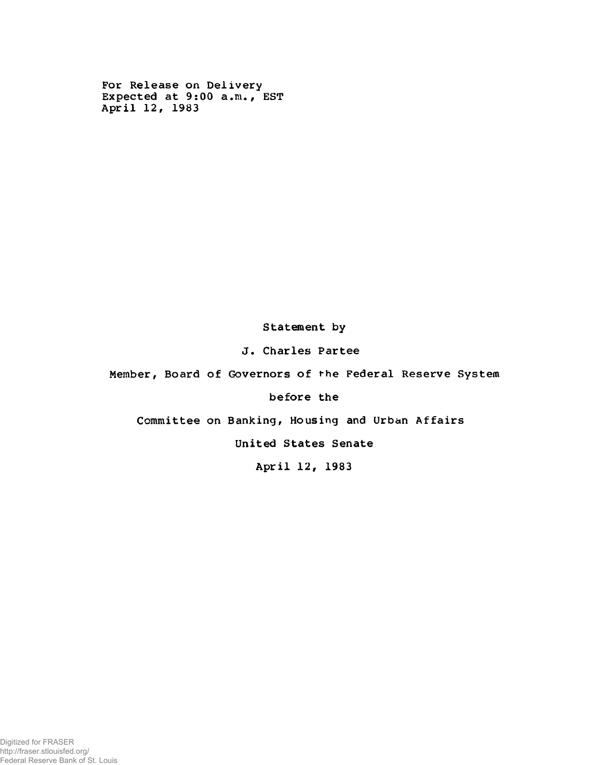For Release on Delivery Expected at 9:00 a.m., EST April 12, 1983

Statement by

J. Charles Partee

Member, Board of Governors of the Federal Reserve System

before the

Committee on Banking, Housing and Urban Affairs

United States Senate

April 12, 1983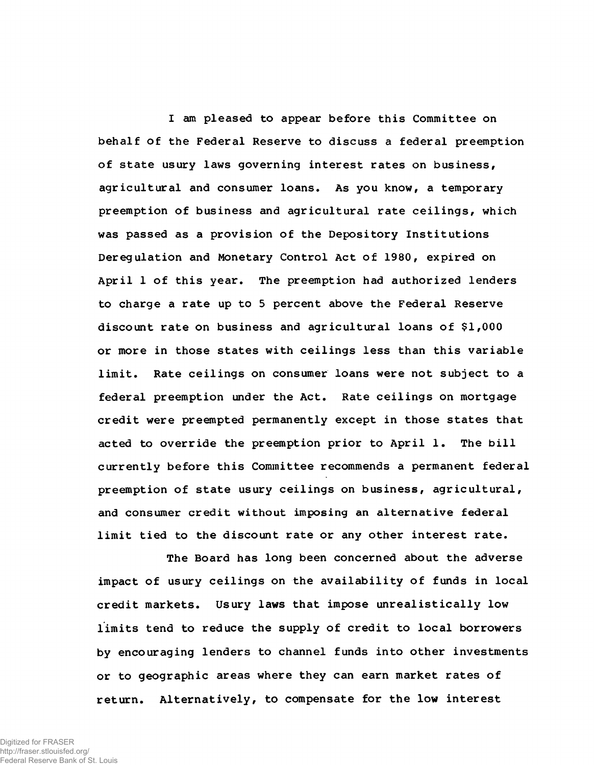I am pleased to appear before this Committee on behalf of the Federal Reserve to discuss a federal preemption of state usury laws governing interest rates on business, agricultural and consumer loans. As you know, a temporary preemption of business and agricultural rate ceilings, which was passed as a provision of the Depository Institutions Deregulation and Monetary Control Act of 1980, expired on April 1 of this year. The preemption had authorized lenders to charge a rate up to 5 percent above the Federal Reserve discount rate on business and agricultural loans of \$1,000 or more in those states with ceilings less than this variable limit. Rate ceilings on consumer loans were not subject to a federal preemption under the Act. Rate ceilings on mortgage credit were preempted permanently except in those states that acted to override the preemption prior to April 1. The bill currently before this Committee recommends a permanent federal preemption of state usury ceilings on business, agricultural, and consumer credit without imposing an alternative federal limit tied to the discount rate or any other interest rate.

The Board has long been concerned about the adverse impact of usury ceilings on the availability of funds in local credit markets. Usury laws that impose unrealistically low limits tend to reduce the supply of credit to local borrowers by encouraging lenders to channel funds into other investments or to geographic areas where they can earn market rates of return. Alternatively, to compensate for the low interest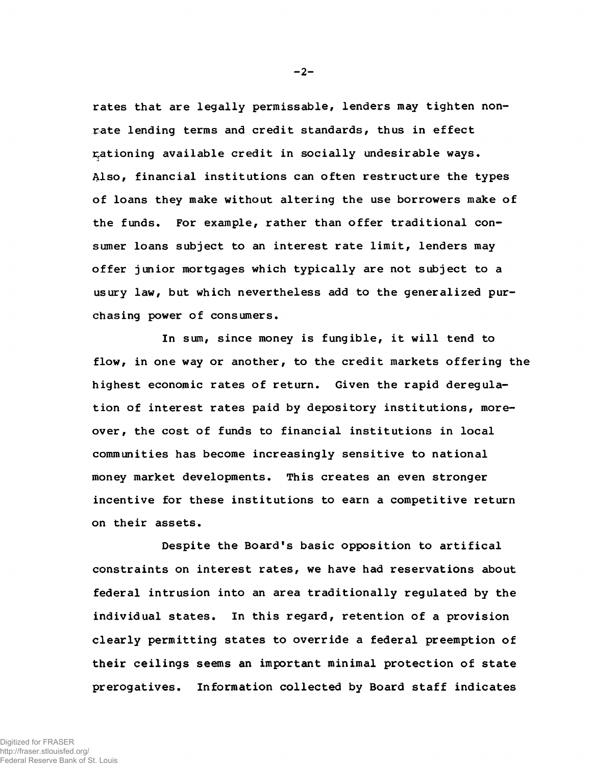rates that are legally permissable, lenders may tighten nonrate lending terms and credit standards, thus in effect rationing available credit in socially undesirable ways. Also, financial institutions can often restructure the types of loans they make without altering the use borrowers make of the funds. For example, rather than offer traditional consumer loans subject to an interest rate limit, lenders may offer junior mortgages which typically are not subject to a usury law, but which nevertheless add to the generalized purchasing power of consumers.

In sum, since money is fungible, it will tend to flow, in one way or another, to the credit markets offering the highest economic rates of return. Given the rapid deregulation of interest rates paid by depository institutions, moreover, the cost of funds to financial institutions in local communities has become increasingly sensitive to national money market developments. This creates an even stronger incentive for these institutions to earn a competitive return on their assets.

Despite the Board's basic opposition to artifical constraints on interest rates, we have had reservations about federal intrusion into an area traditionally regulated by the individual states. In this regard, retention of a provision clearly permitting states to override a federal preemption of their ceilings seems an important minimal protection of state prerogatives. Information collected by Board staff indicates

 $-2-$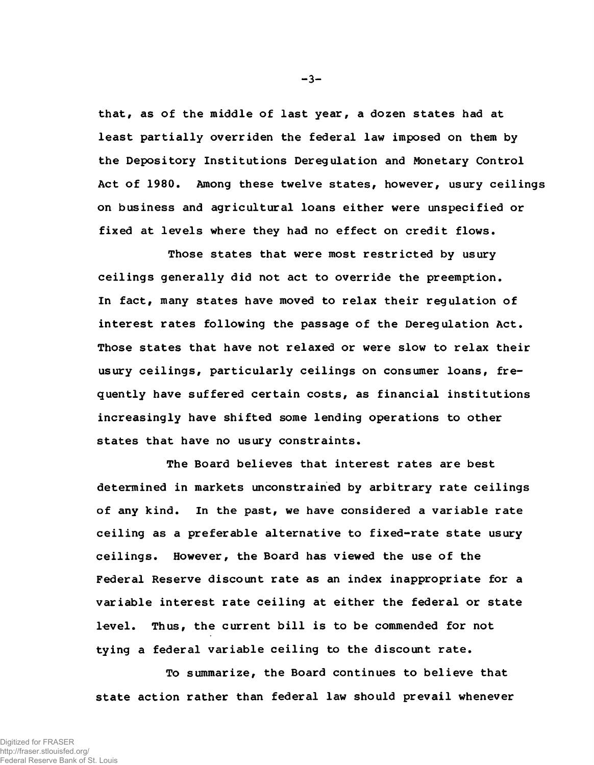that, as of the middle of last year, a dozen states had at least partially overriden the federal law imposed on them by the Depository Institutions Deregulation and Monetary Control Act of 1980. Among these twelve states, however, usury ceilings on business and agricultural loans either were unspecified or fixed at levels where they had no effect on credit flows.

Those states that were most restricted by usury ceilings generally did not act to override the preemption. In fact, many states have moved to relax their regulation of interest rates following the passage of the Deregulation Act. Those states that have not relaxed or were slow to relax their usury ceilings, particularly ceilings on consumer loans, frequently have suffered certain costs, as financial institutions increasingly have shifted some lending operations to other states that have no usury constraints.

The Board believes that interest rates are best determined in markets unconstrained by arbitrary rate ceilings of any kind. In the past, we have considered a variable rate ceiling as a preferable alternative to fixed-rate state usury ceilings. However, the Board has viewed the use of the Federal Reserve discount rate as an index inappropriate for a variable interest rate ceiling at either the federal or state level. Thus, the current bill is to be commended for not tying a federal variable ceiling to the discount rate.

To summarize, the Board continues to believe that state action rather than federal law should prevail whenever

 $-3-$